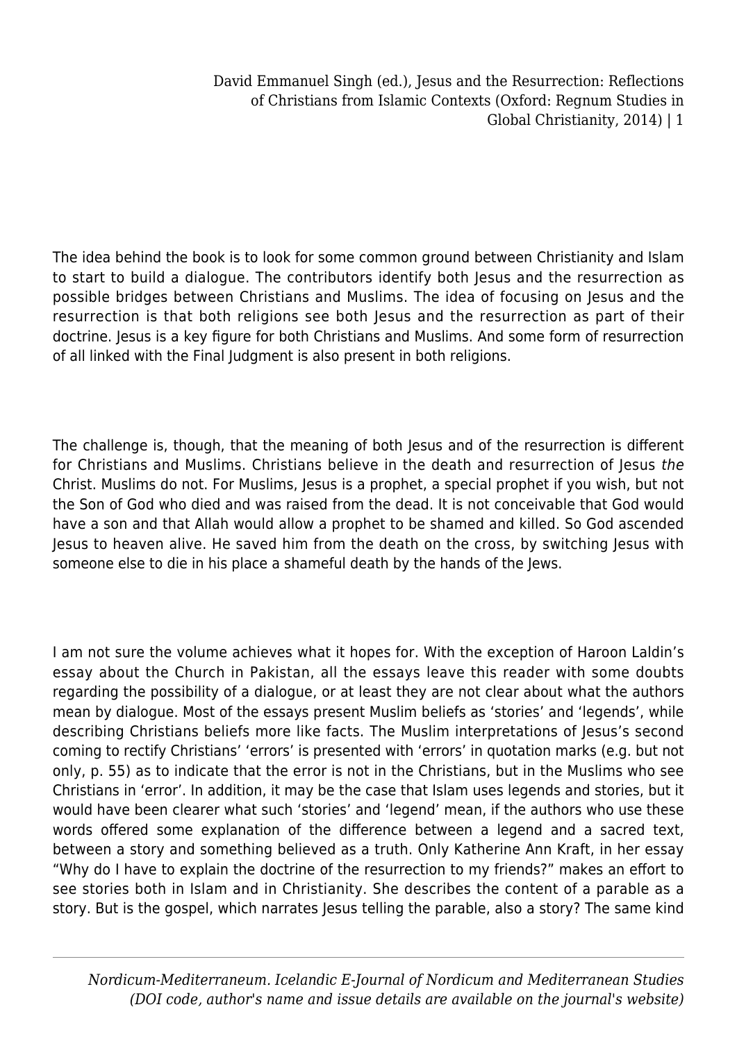David Emmanuel Singh (ed.), Jesus and the Resurrection: Reflections of Christians from Islamic Contexts (Oxford: Regnum Studies in Global Christianity, 2014) | 1

The idea behind the book is to look for some common ground between Christianity and Islam to start to build a dialogue. The contributors identify both Jesus and the resurrection as possible bridges between Christians and Muslims. The idea of focusing on Jesus and the resurrection is that both religions see both Jesus and the resurrection as part of their doctrine. Jesus is a key figure for both Christians and Muslims. And some form of resurrection of all linked with the Final Judgment is also present in both religions.

The challenge is, though, that the meaning of both Jesus and of the resurrection is different for Christians and Muslims. Christians believe in the death and resurrection of Jesus the Christ. Muslims do not. For Muslims, Jesus is a prophet, a special prophet if you wish, but not the Son of God who died and was raised from the dead. It is not conceivable that God would have a son and that Allah would allow a prophet to be shamed and killed. So God ascended Jesus to heaven alive. He saved him from the death on the cross, by switching Jesus with someone else to die in his place a shameful death by the hands of the Jews.

I am not sure the volume achieves what it hopes for. With the exception of Haroon Laldin's essay about the Church in Pakistan, all the essays leave this reader with some doubts regarding the possibility of a dialogue, or at least they are not clear about what the authors mean by dialogue. Most of the essays present Muslim beliefs as 'stories' and 'legends', while describing Christians beliefs more like facts. The Muslim interpretations of Jesus's second coming to rectify Christians' 'errors' is presented with 'errors' in quotation marks (e.g. but not only, p. 55) as to indicate that the error is not in the Christians, but in the Muslims who see Christians in 'error'. In addition, it may be the case that Islam uses legends and stories, but it would have been clearer what such 'stories' and 'legend' mean, if the authors who use these words offered some explanation of the difference between a legend and a sacred text, between a story and something believed as a truth. Only Katherine Ann Kraft, in her essay "Why do I have to explain the doctrine of the resurrection to my friends?" makes an effort to see stories both in Islam and in Christianity. She describes the content of a parable as a story. But is the gospel, which narrates Jesus telling the parable, also a story? The same kind

*Nordicum-Mediterraneum. Icelandic E-Journal of Nordicum and Mediterranean Studies (DOI code, author's name and issue details are available on the journal's website)*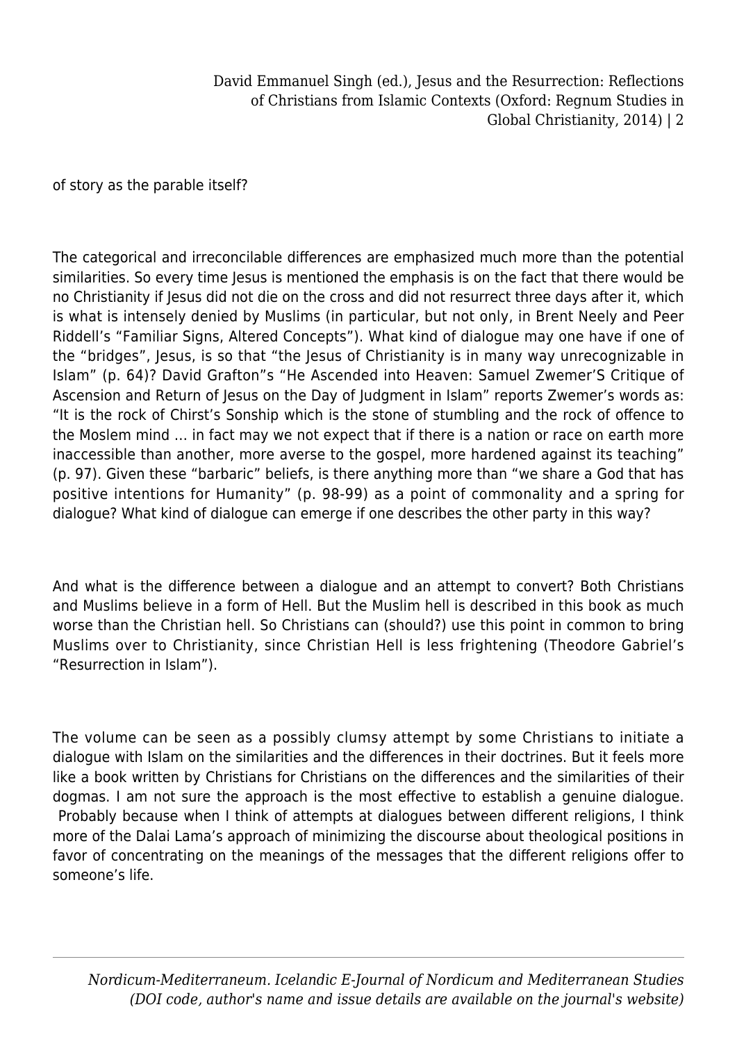David Emmanuel Singh (ed.), Jesus and the Resurrection: Reflections of Christians from Islamic Contexts (Oxford: Regnum Studies in Global Christianity, 2014) | 2

of story as the parable itself?

The categorical and irreconcilable differences are emphasized much more than the potential similarities. So every time Jesus is mentioned the emphasis is on the fact that there would be no Christianity if Jesus did not die on the cross and did not resurrect three days after it, which is what is intensely denied by Muslims (in particular, but not only, in Brent Neely and Peer Riddell's "Familiar Signs, Altered Concepts"). What kind of dialogue may one have if one of the "bridges", Jesus, is so that "the Jesus of Christianity is in many way unrecognizable in Islam" (p. 64)? David Grafton"s "He Ascended into Heaven: Samuel Zwemer'S Critique of Ascension and Return of Jesus on the Day of Judgment in Islam" reports Zwemer's words as: "It is the rock of Chirst's Sonship which is the stone of stumbling and the rock of offence to the Moslem mind … in fact may we not expect that if there is a nation or race on earth more inaccessible than another, more averse to the gospel, more hardened against its teaching" (p. 97). Given these "barbaric" beliefs, is there anything more than "we share a God that has positive intentions for Humanity" (p. 98-99) as a point of commonality and a spring for dialogue? What kind of dialogue can emerge if one describes the other party in this way?

And what is the difference between a dialogue and an attempt to convert? Both Christians and Muslims believe in a form of Hell. But the Muslim hell is described in this book as much worse than the Christian hell. So Christians can (should?) use this point in common to bring Muslims over to Christianity, since Christian Hell is less frightening (Theodore Gabriel's "Resurrection in Islam").

The volume can be seen as a possibly clumsy attempt by some Christians to initiate a dialogue with Islam on the similarities and the differences in their doctrines. But it feels more like a book written by Christians for Christians on the differences and the similarities of their dogmas. I am not sure the approach is the most effective to establish a genuine dialogue. Probably because when I think of attempts at dialogues between different religions, I think more of the Dalai Lama's approach of minimizing the discourse about theological positions in favor of concentrating on the meanings of the messages that the different religions offer to someone's life.

*Nordicum-Mediterraneum. Icelandic E-Journal of Nordicum and Mediterranean Studies (DOI code, author's name and issue details are available on the journal's website)*